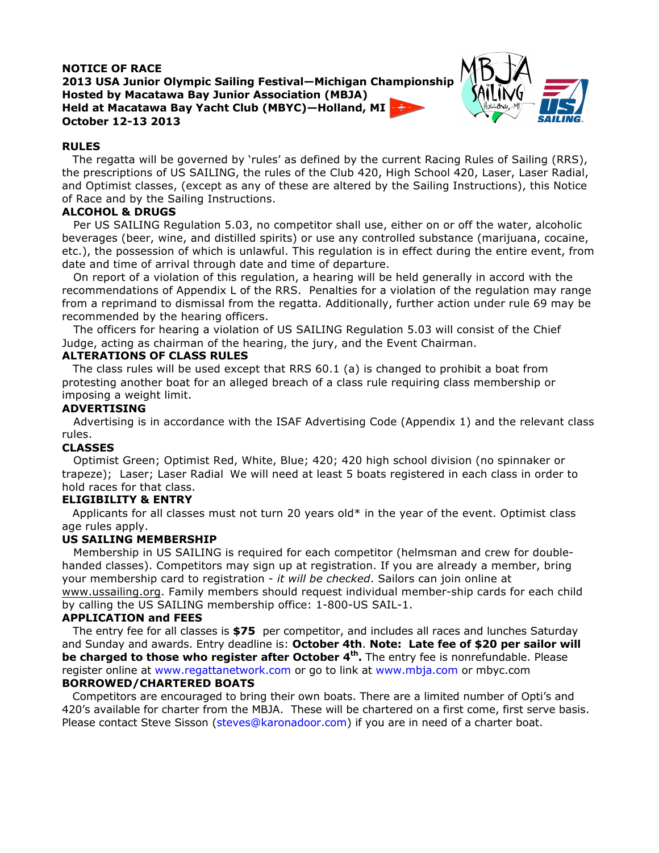## **NOTICE OF RACE 2013 USA Junior Olympic Sailing Festival—Michigan Championship Hosted by Macatawa Bay Junior Association (MBJA) Held at Macatawa Bay Yacht Club (MBYC)—Holland, MI October 12-13 2013**



#### **RULES**

The regatta will be governed by 'rules' as defined by the current Racing Rules of Sailing (RRS), the prescriptions of US SAILING, the rules of the Club 420, High School 420, Laser, Laser Radial, and Optimist classes, (except as any of these are altered by the Sailing Instructions), this Notice of Race and by the Sailing Instructions.

## **ALCOHOL & DRUGS**

 Per US SAILING Regulation 5.03, no competitor shall use, either on or off the water, alcoholic beverages (beer, wine, and distilled spirits) or use any controlled substance (marijuana, cocaine, etc.), the possession of which is unlawful. This regulation is in effect during the entire event, from date and time of arrival through date and time of departure.

 On report of a violation of this regulation, a hearing will be held generally in accord with the recommendations of Appendix L of the RRS. Penalties for a violation of the regulation may range from a reprimand to dismissal from the regatta. Additionally, further action under rule 69 may be recommended by the hearing officers.

 The officers for hearing a violation of US SAILING Regulation 5.03 will consist of the Chief Judge, acting as chairman of the hearing, the jury, and the Event Chairman.

## **ALTERATIONS OF CLASS RULES**

 The class rules will be used except that RRS 60.1 (a) is changed to prohibit a boat from protesting another boat for an alleged breach of a class rule requiring class membership or imposing a weight limit.

### **ADVERTISING**

 Advertising is in accordance with the ISAF Advertising Code (Appendix 1) and the relevant class rules.

### **CLASSES**

Optimist Green; Optimist Red, White, Blue; 420; 420 high school division (no spinnaker or trapeze); Laser; Laser Radial We will need at least 5 boats registered in each class in order to hold races for that class.

### **ELIGIBILITY & ENTRY**

Applicants for all classes must not turn 20 years old\* in the year of the event. Optimist class age rules apply.

### **US SAILING MEMBERSHIP**

 Membership in US SAILING is required for each competitor (helmsman and crew for doublehanded classes). Competitors may sign up at registration. If you are already a member, bring your membership card to registration - *it will be checked*. Sailors can join online at www.ussailing.org. Family members should request individual member-ship cards for each child by calling the US SAILING membership office: 1-800-US SAIL-1.

### **APPLICATION and FEES**

 The entry fee for all classes is **\$75** per competitor, and includes all races and lunches Saturday and Sunday and awards. Entry deadline is: **October 4th**. **Note: Late fee of \$20 per sailor will be charged to those who register after October 4<sup>th</sup>.** The entry fee is nonrefundable. Please register online at www.regattanetwork.com or go to link at www.mbja.com or mbyc.com **BORROWED/CHARTERED BOATS**

Competitors are encouraged to bring their own boats. There are a limited number of Opti's and 420's available for charter from the MBJA. These will be chartered on a first come, first serve basis. Please contact Steve Sisson (steves@karonadoor.com) if you are in need of a charter boat.